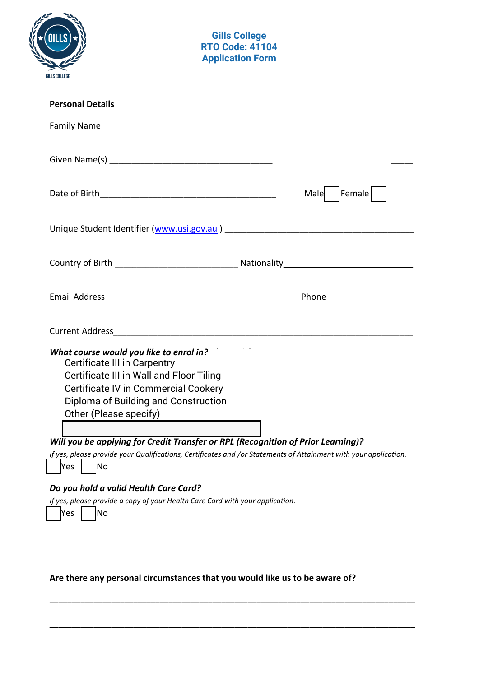| GILLS COLLEGE                                                                                                                                                                                                                                                                                                                                 | <b>Gills College</b><br><b>RTO Code: 41104</b><br><b>Application Form</b> |                                                                                                                  |
|-----------------------------------------------------------------------------------------------------------------------------------------------------------------------------------------------------------------------------------------------------------------------------------------------------------------------------------------------|---------------------------------------------------------------------------|------------------------------------------------------------------------------------------------------------------|
| <b>Personal Details</b>                                                                                                                                                                                                                                                                                                                       |                                                                           |                                                                                                                  |
| Family Name and the state of the state of the state of the state of the state of the state of the state of the                                                                                                                                                                                                                                |                                                                           |                                                                                                                  |
|                                                                                                                                                                                                                                                                                                                                               |                                                                           |                                                                                                                  |
|                                                                                                                                                                                                                                                                                                                                               |                                                                           | Female    <br>Male                                                                                               |
|                                                                                                                                                                                                                                                                                                                                               |                                                                           |                                                                                                                  |
|                                                                                                                                                                                                                                                                                                                                               |                                                                           |                                                                                                                  |
|                                                                                                                                                                                                                                                                                                                                               |                                                                           |                                                                                                                  |
|                                                                                                                                                                                                                                                                                                                                               |                                                                           |                                                                                                                  |
| What course would you like to enrol in?<br><b>Certificate III in Carpentry</b><br>Certificate III in Wall and Floor Tiling<br><b>Certificate IV in Commercial Cookery</b><br>Diploma of Building and Construction<br>Other (Please specify)<br>Will you be applying for Credit Transfer or RPL (Recognition of Prior Learning)?<br> No<br>Yes |                                                                           | If yes, please provide your Qualifications, Certificates and /or Statements of Attainment with your application. |
| Do you hold a valid Health Care Card?<br>If yes, please provide a copy of your Health Care Card with your application.<br>Yes<br>No                                                                                                                                                                                                           |                                                                           |                                                                                                                  |

**Are there any personal circumstances that you would like us to be aware of?** 

**\_\_\_\_\_\_\_\_\_\_\_\_\_\_\_\_\_\_\_\_\_\_\_\_\_\_\_\_\_\_\_\_\_\_\_\_\_\_\_\_\_\_\_\_\_\_\_\_\_\_\_\_\_\_\_\_\_\_\_\_\_\_\_\_\_\_\_\_\_\_\_\_\_\_\_\_\_\_\_\_\_\_\_** 

**\_\_\_\_\_\_\_\_\_\_\_\_\_\_\_\_\_\_\_\_\_\_\_\_\_\_\_\_\_\_\_\_\_\_\_\_\_\_\_\_\_\_\_\_\_\_\_\_\_\_\_\_\_\_\_\_\_\_\_\_\_\_\_\_\_\_\_\_\_\_\_\_\_\_\_\_\_\_\_\_\_\_\_**